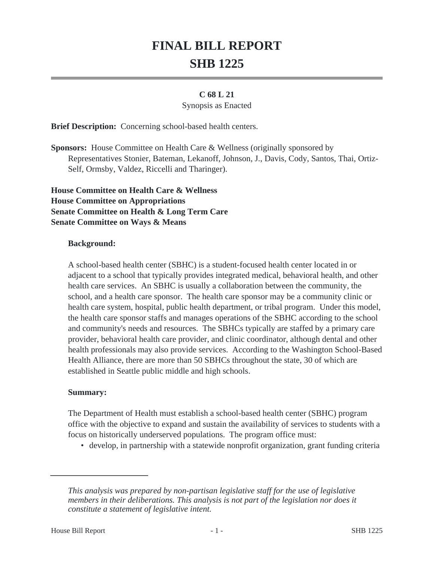# **FINAL BILL REPORT SHB 1225**

## **C 68 L 21**

### Synopsis as Enacted

**Brief Description:** Concerning school-based health centers.

**Sponsors:** House Committee on Health Care & Wellness (originally sponsored by Representatives Stonier, Bateman, Lekanoff, Johnson, J., Davis, Cody, Santos, Thai, Ortiz-Self, Ormsby, Valdez, Riccelli and Tharinger).

**House Committee on Health Care & Wellness House Committee on Appropriations Senate Committee on Health & Long Term Care Senate Committee on Ways & Means**

### **Background:**

A school-based health center (SBHC) is a student-focused health center located in or adjacent to a school that typically provides integrated medical, behavioral health, and other health care services. An SBHC is usually a collaboration between the community, the school, and a health care sponsor. The health care sponsor may be a community clinic or health care system, hospital, public health department, or tribal program. Under this model, the health care sponsor staffs and manages operations of the SBHC according to the school and community's needs and resources. The SBHCs typically are staffed by a primary care provider, behavioral health care provider, and clinic coordinator, although dental and other health professionals may also provide services. According to the Washington School-Based Health Alliance, there are more than 50 SBHCs throughout the state, 30 of which are established in Seattle public middle and high schools.

### **Summary:**

The Department of Health must establish a school-based health center (SBHC) program office with the objective to expand and sustain the availability of services to students with a focus on historically underserved populations. The program office must:

• develop, in partnership with a statewide nonprofit organization, grant funding criteria

*This analysis was prepared by non-partisan legislative staff for the use of legislative members in their deliberations. This analysis is not part of the legislation nor does it constitute a statement of legislative intent.*